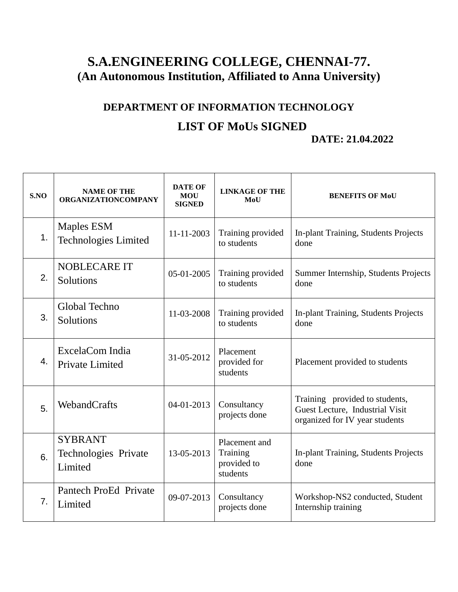## **S.A.ENGINEERING COLLEGE, CHENNAI-77. (An Autonomous Institution, Affiliated to Anna University)**

## **DEPARTMENT OF INFORMATION TECHNOLOGY LIST OF MoUs SIGNED DATE: 21.04.2022**

| S.NO | <b>NAME OF THE</b><br><b>ORGANIZATIONCOMPANY</b>  | <b>DATE OF</b><br><b>MOU</b><br><b>SIGNED</b> | <b>LINKAGE OF THE</b><br>MoU                         | <b>BENEFITS OF MoU</b>                                                                              |
|------|---------------------------------------------------|-----------------------------------------------|------------------------------------------------------|-----------------------------------------------------------------------------------------------------|
| 1.   | Maples ESM<br><b>Technologies Limited</b>         | 11-11-2003                                    | Training provided<br>to students                     | In-plant Training, Students Projects<br>done                                                        |
| 2.   | <b>NOBLECARE IT</b><br>Solutions                  | 05-01-2005                                    | Training provided<br>to students                     | Summer Internship, Students Projects<br>done                                                        |
| 3.   | Global Techno<br>Solutions                        | 11-03-2008                                    | Training provided<br>to students                     | In-plant Training, Students Projects<br>done                                                        |
| 4.   | ExcelaCom India<br><b>Private Limited</b>         | 31-05-2012                                    | Placement<br>provided for<br>students                | Placement provided to students                                                                      |
| 5.   | WebandCrafts                                      | 04-01-2013                                    | Consultancy<br>projects done                         | Training provided to students,<br>Guest Lecture, Industrial Visit<br>organized for IV year students |
| 6.   | <b>SYBRANT</b><br>Technologies Private<br>Limited | 13-05-2013                                    | Placement and<br>Training<br>provided to<br>students | In-plant Training, Students Projects<br>done                                                        |
| 7.   | Pantech ProEd Private<br>Limited                  | 09-07-2013                                    | Consultancy<br>projects done                         | Workshop-NS2 conducted, Student<br>Internship training                                              |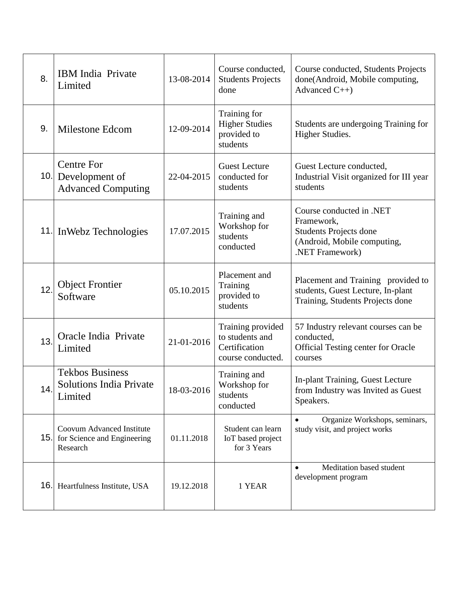| 8.  | <b>IBM</b> India Private<br>Limited                                         | 13-08-2014 | Course conducted,<br><b>Students Projects</b><br>done                      | Course conducted, Students Projects<br>done(Android, Mobile computing,<br>Advanced $C++$                           |
|-----|-----------------------------------------------------------------------------|------------|----------------------------------------------------------------------------|--------------------------------------------------------------------------------------------------------------------|
| 9.  | Milestone Edcom                                                             | 12-09-2014 | Training for<br><b>Higher Studies</b><br>provided to<br>students           | Students are undergoing Training for<br>Higher Studies.                                                            |
| 10. | <b>Centre For</b><br>Development of<br><b>Advanced Computing</b>            | 22-04-2015 | <b>Guest Lecture</b><br>conducted for<br>students                          | Guest Lecture conducted,<br>Industrial Visit organized for III year<br>students                                    |
|     | 11. In Webz Technologies                                                    | 17.07.2015 | Training and<br>Workshop for<br>students<br>conducted                      | Course conducted in .NET<br>Framework,<br>Students Projects done<br>(Android, Mobile computing,<br>.NET Framework) |
| 12. | <b>Object Frontier</b><br>Software                                          | 05.10.2015 | Placement and<br>Training<br>provided to<br>students                       | Placement and Training provided to<br>students, Guest Lecture, In-plant<br>Training, Students Projects done        |
| 13. | Oracle India Private<br>Limited                                             | 21-01-2016 | Training provided<br>to students and<br>Certification<br>course conducted. | 57 Industry relevant courses can be<br>conducted,<br>Official Testing center for Oracle<br>courses                 |
| 14. | <b>Tekbos Business</b><br><b>Solutions India Private</b><br>Limited         | 18-03-2016 | Training and<br>Workshop for<br>students<br>conducted                      | In-plant Training, Guest Lecture<br>from Industry was Invited as Guest<br>Speakers.                                |
| 15. | <b>Coovum Advanced Institute</b><br>for Science and Engineering<br>Research | 01.11.2018 | Student can learn<br>IoT based project<br>for 3 Years                      | $\bullet$<br>Organize Workshops, seminars,<br>study visit, and project works                                       |
| 16. | Heartfulness Institute, USA                                                 | 19.12.2018 | 1 YEAR                                                                     | Meditation based student<br>development program                                                                    |